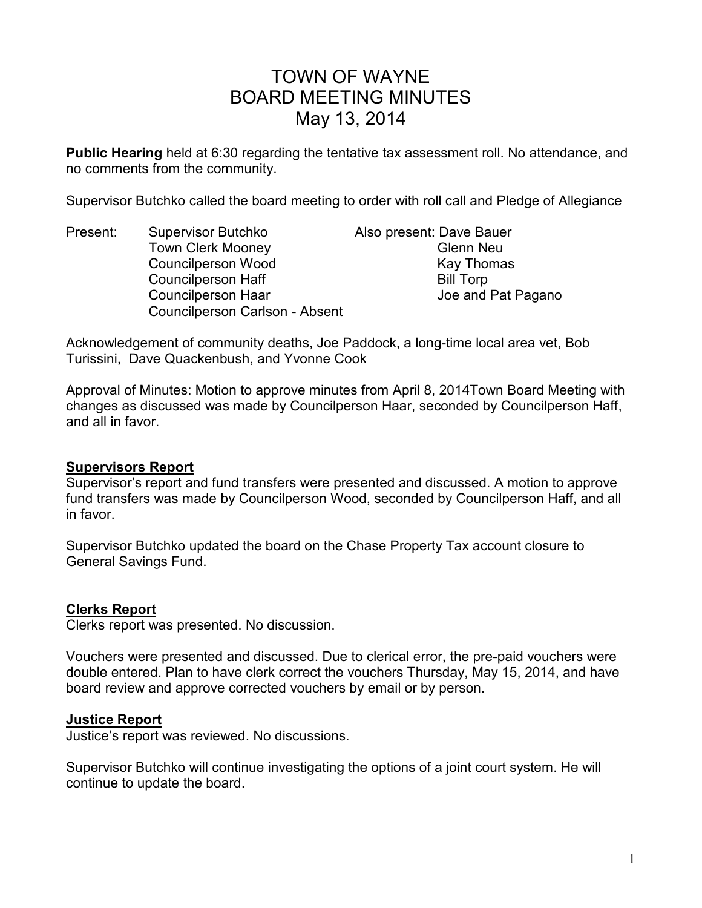# TOWN OF WAYNE BOARD MEETING MINUTES May 13, 2014

**Public Hearing** held at 6:30 regarding the tentative tax assessment roll. No attendance, and no comments from the community.

Supervisor Butchko called the board meeting to order with roll call and Pledge of Allegiance

Present: Supervisor Butchko Also present: Dave Bauer Town Clerk Mooney **Glenn Neu** Councilperson Wood Kay Thomas Councilperson Haff Bill Torp Councilperson Haar Joe and Pat Pagano Councilperson Carlson - Absent

Acknowledgement of community deaths, Joe Paddock, a long-time local area vet, Bob Turissini, Dave Quackenbush, and Yvonne Cook

Approval of Minutes: Motion to approve minutes from April 8, 2014Town Board Meeting with changes as discussed was made by Councilperson Haar, seconded by Councilperson Haff, and all in favor.

#### **Supervisors Report**

Supervisor's report and fund transfers were presented and discussed. A motion to approve fund transfers was made by Councilperson Wood, seconded by Councilperson Haff, and all in favor.

Supervisor Butchko updated the board on the Chase Property Tax account closure to General Savings Fund.

#### **Clerks Report**

Clerks report was presented. No discussion.

Vouchers were presented and discussed. Due to clerical error, the pre-paid vouchers were double entered. Plan to have clerk correct the vouchers Thursday, May 15, 2014, and have board review and approve corrected vouchers by email or by person.

#### **Justice Report**

Justice's report was reviewed. No discussions.

Supervisor Butchko will continue investigating the options of a joint court system. He will continue to update the board.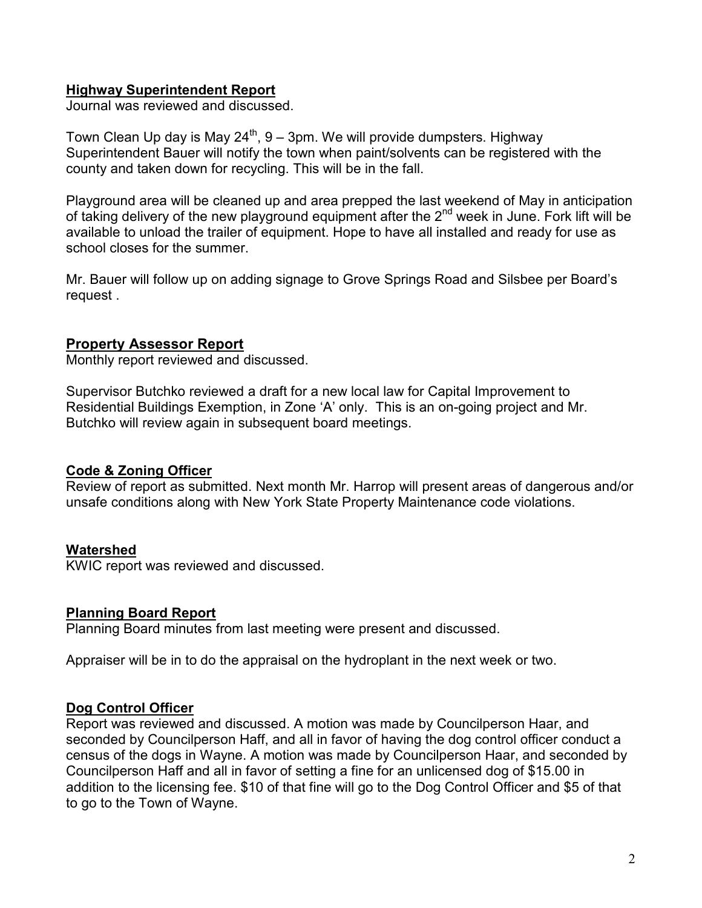## **Highway Superintendent Report**

Journal was reviewed and discussed.

Town Clean Up day is May  $24^{th}$ ,  $9 - 3$ pm. We will provide dumpsters. Highway Superintendent Bauer will notify the town when paint/solvents can be registered with the county and taken down for recycling. This will be in the fall.

Playground area will be cleaned up and area prepped the last weekend of May in anticipation of taking delivery of the new playground equipment after the  $2^{nd}$  week in June. Fork lift will be available to unload the trailer of equipment. Hope to have all installed and ready for use as school closes for the summer.

Mr. Bauer will follow up on adding signage to Grove Springs Road and Silsbee per Board's request .

## **Property Assessor Report**

Monthly report reviewed and discussed.

Supervisor Butchko reviewed a draft for a new local law for Capital Improvement to Residential Buildings Exemption, in Zone 'A' only. This is an on-going project and Mr. Butchko will review again in subsequent board meetings.

#### **Code & Zoning Officer**

Review of report as submitted. Next month Mr. Harrop will present areas of dangerous and/or unsafe conditions along with New York State Property Maintenance code violations.

#### **Watershed**

KWIC report was reviewed and discussed.

#### **Planning Board Report**

Planning Board minutes from last meeting were present and discussed.

Appraiser will be in to do the appraisal on the hydroplant in the next week or two.

#### **Dog Control Officer**

Report was reviewed and discussed. A motion was made by Councilperson Haar, and seconded by Councilperson Haff, and all in favor of having the dog control officer conduct a census of the dogs in Wayne. A motion was made by Councilperson Haar, and seconded by Councilperson Haff and all in favor of setting a fine for an unlicensed dog of \$15.00 in addition to the licensing fee. \$10 of that fine will go to the Dog Control Officer and \$5 of that to go to the Town of Wayne.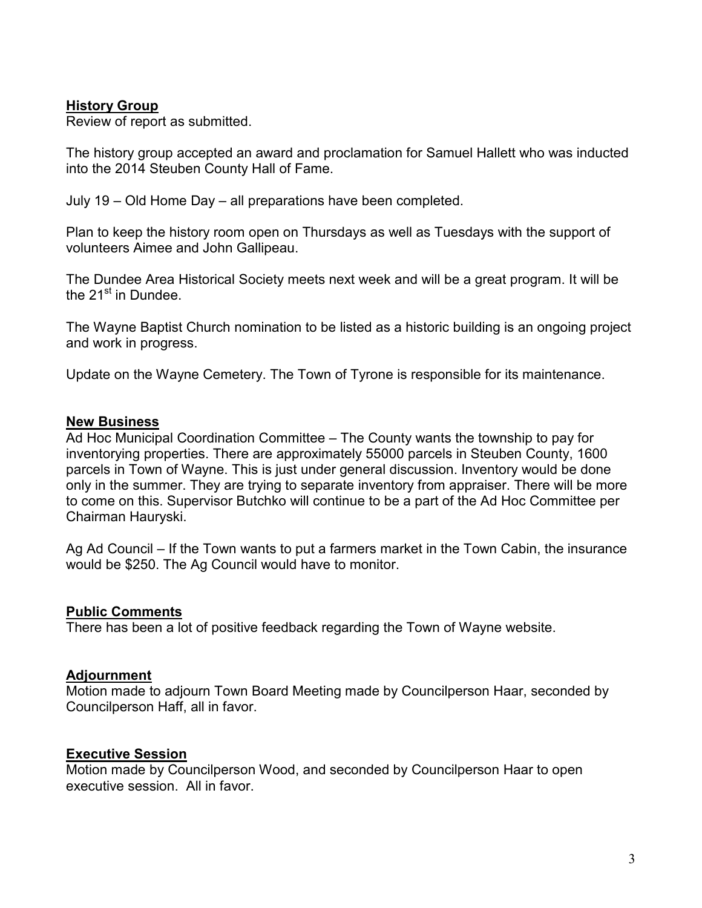#### **History Group**

Review of report as submitted.

The history group accepted an award and proclamation for Samuel Hallett who was inducted into the 2014 Steuben County Hall of Fame.

July 19 – Old Home Day – all preparations have been completed.

Plan to keep the history room open on Thursdays as well as Tuesdays with the support of volunteers Aimee and John Gallipeau.

The Dundee Area Historical Society meets next week and will be a great program. It will be the  $21<sup>st</sup>$  in Dundee.

The Wayne Baptist Church nomination to be listed as a historic building is an ongoing project and work in progress.

Update on the Wayne Cemetery. The Town of Tyrone is responsible for its maintenance.

#### **New Business**

Ad Hoc Municipal Coordination Committee – The County wants the township to pay for inventorying properties. There are approximately 55000 parcels in Steuben County, 1600 parcels in Town of Wayne. This is just under general discussion. Inventory would be done only in the summer. They are trying to separate inventory from appraiser. There will be more to come on this. Supervisor Butchko will continue to be a part of the Ad Hoc Committee per Chairman Hauryski.

Ag Ad Council – If the Town wants to put a farmers market in the Town Cabin, the insurance would be \$250. The Ag Council would have to monitor.

#### **Public Comments**

There has been a lot of positive feedback regarding the Town of Wayne website.

#### **Adjournment**

Motion made to adjourn Town Board Meeting made by Councilperson Haar, seconded by Councilperson Haff, all in favor.

#### **Executive Session**

Motion made by Councilperson Wood, and seconded by Councilperson Haar to open executive session. All in favor.